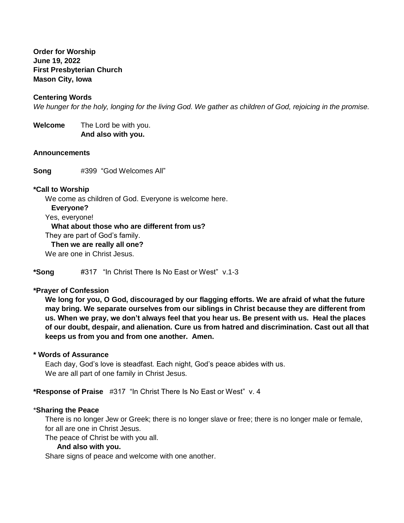**Order for Worship June 19, 2022 First Presbyterian Church Mason City, Iowa**

# **Centering Words**

*We hunger for the holy, longing for the living God. We gather as children of God, rejoicing in the promise.*

**Welcome** The Lord be with you.  **And also with you.**

### **Announcements**

**Song** #399 "God Welcomes All"

#### **\*Call to Worship**

We come as children of God. Everyone is welcome here.

#### **Everyone?**

Yes, everyone!

# **What about those who are different from us?**

They are part of God's family.

 **Then we are really all one?**

We are one in Christ Jesus.

**\*Song** #317 "In Christ There Is No East or West" v.1-3

### **\*Prayer of Confession**

**We long for you, O God, discouraged by our flagging efforts. We are afraid of what the future may bring. We separate ourselves from our siblings in Christ because they are different from us. When we pray, we don't always feel that you hear us. Be present with us. Heal the places of our doubt, despair, and alienation. Cure us from hatred and discrimination. Cast out all that keeps us from you and from one another. Amen.**

# **\* Words of Assurance**

Each day, God's love is steadfast. Each night, God's peace abides with us. We are all part of one family in Christ Jesus.

**\*Response of Praise** #317 "In Christ There Is No East or West" v. 4

### \***Sharing the Peace**

There is no longer Jew or Greek; there is no longer slave or free; there is no longer male or female, for all are one in Christ Jesus.

The peace of Christ be with you all.

### **And also with you.**

Share signs of peace and welcome with one another.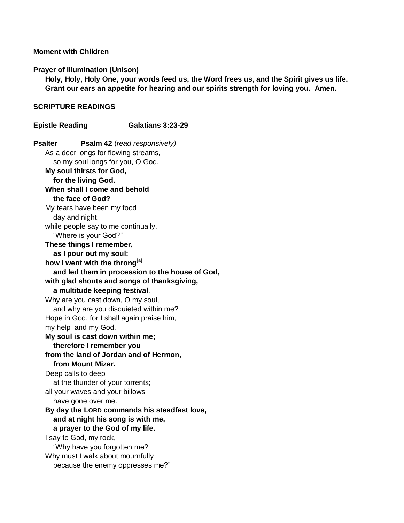# **Moment with Children**

### **Prayer of Illumination (Unison)**

**Holy, Holy, Holy One, your words feed us, the Word frees us, and the Spirit gives us life. Grant our ears an appetite for hearing and our spirits strength for loving you. Amen.**

## **SCRIPTURE READINGS**

**Epistle Reading Galatians 3:23-29 Psalter Psalm 42** (*read responsively)* As a deer longs for flowing streams, so my soul longs for you, O God. **My soul thirsts for God, for the living God. When shall I come and behold the face of God?** My tears have been my food day and night, while people say to me continually, "Where is your God?" **These things I remember, as I pour out my soul: how I went with the throng[\[a\]](https://www.biblegateway.com/passage/?search=psalm+42&version=NRSVUE#fen-NRSVUE-14560a) and led them in procession to the house of God, with glad shouts and songs of thanksgiving, a multitude keeping festival**. Why are you cast down, O my soul, and why are you disquieted within me? Hope in God, for I shall again praise him, my help and my God. **My soul is cast down within me; therefore I remember you from the land of Jordan and of Hermon, from Mount Mizar.** Deep calls to deep at the thunder of your torrents; all your waves and your billows have gone over me. **By day the LORD commands his steadfast love, and at night his song is with me, a prayer to the God of my life.** I say to God, my rock, "Why have you forgotten me? Why must I walk about mournfully because the enemy oppresses me?"